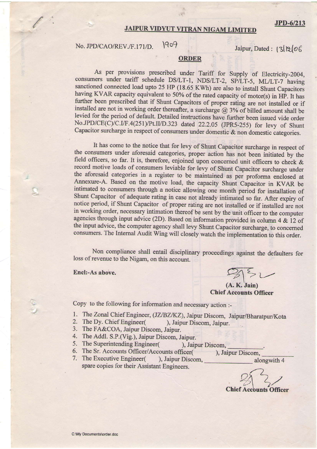## **JAIPUR VIDYUT VITRAN NIGAM LIMITED**

 $No. JPD/CAO/REV.F.171/D.$  1909

/

Jaipur, Dated:  $|3|2|06$ 

JPD-6/213

## ORDER

As per provisions prescribed under Tariff for Supply of Electricity-2O04, consumers under tariff schedule DS/LT-1, NDS/LT-2, SP/LT-5, ML/LT-7 having sanctioned connected load upto 25 HP (18.65 KWh) are also to install Shunt Capacitors having KVAR capacity equivalent to 50% of the rated capacity of motor(s) in HP. It has further been prescribed that if Shunt Capacitors of proper rating are not installed or if installed are not in working order thereafter, a surcharge  $@$  3% of billed amount shall be levied for the period of default. Detailed instructions have further been issued vide order No.JPD/CE(C)/C.I/F.4(251)/Pt.II/D.323 dated 22.2.05 (JPR5-255) for levy of Shunt Capacitor surcharge in respect of consumers under domestic & non domestic categories.

It has come to the notice that for levy of Shunt Capacitor surcharge in respect of the consumers under aforesaid categories, proper action has not been initiated by the field officers, so far. It is, therefore, enjoined upon concerned unit officers to check & record motive loads of consumers leviable for levy of Shunt Capacitor surcharge under the aforesaid categories in a register to be maintained as per proforma enclosed at Annexure-A. Based on the motive load, the capacity Shunt Capacitor in KVAR be intimated to consumers through a notice allowing one month period for installation of Shunt Capacitor of adequate rating in case not already intimated so far. After expiry of notice period, if Shunt capacitor of proper rating are not installed or if installed are not in working order, necessary intimation thereof be sent by the unit officer to the computer agencies through input advice (2D). Based on information provided in column 4  $&$  12 of the input advice, the computer agency shall levy Shunt capacitor surcharge, to concerned consumers. The Internal Audit Wing will closely watch the implementation to this order.

Non compliance shall entail disciplinarv proceedings against the defaulters for loss of revenue to the Nigam, on this account.

Encl:-As above.

 $252$ 

 $(A. K. Jain)$ Chief Accounts Ofricer

Copy to the foliowing for information and necessary action :-

- The Zonal Chief Engineer, (JZ/BZ/KZ), Jaipur Discom, Jaipur/Bharatpw/Kota 1. The Zonal Chief Engineer, (JZ/BZ/KZ), Jaipur Discom,<br>2. The Dy. Chief Engineer( ), Jaipur Discom, Jaipur.
- 2. The Dy. Chief Engineer(
- 3. The FA&COA, Jaipur Discom, Jaipur.
- 4. The Addl. S.P.(Vig.), Jaipur Discom, Jaipur.
- 5. The Superintending Engineer (), Jaipur Discom
- 6. The Sr. Accounts Officer/Accounts officer( ), Jaipur Discom,
- 7. The Executive Engineer( ), Jaipur Discom, spare copies for their Assistant Engineers. alongwith 4

**Chief Accounts Officer**